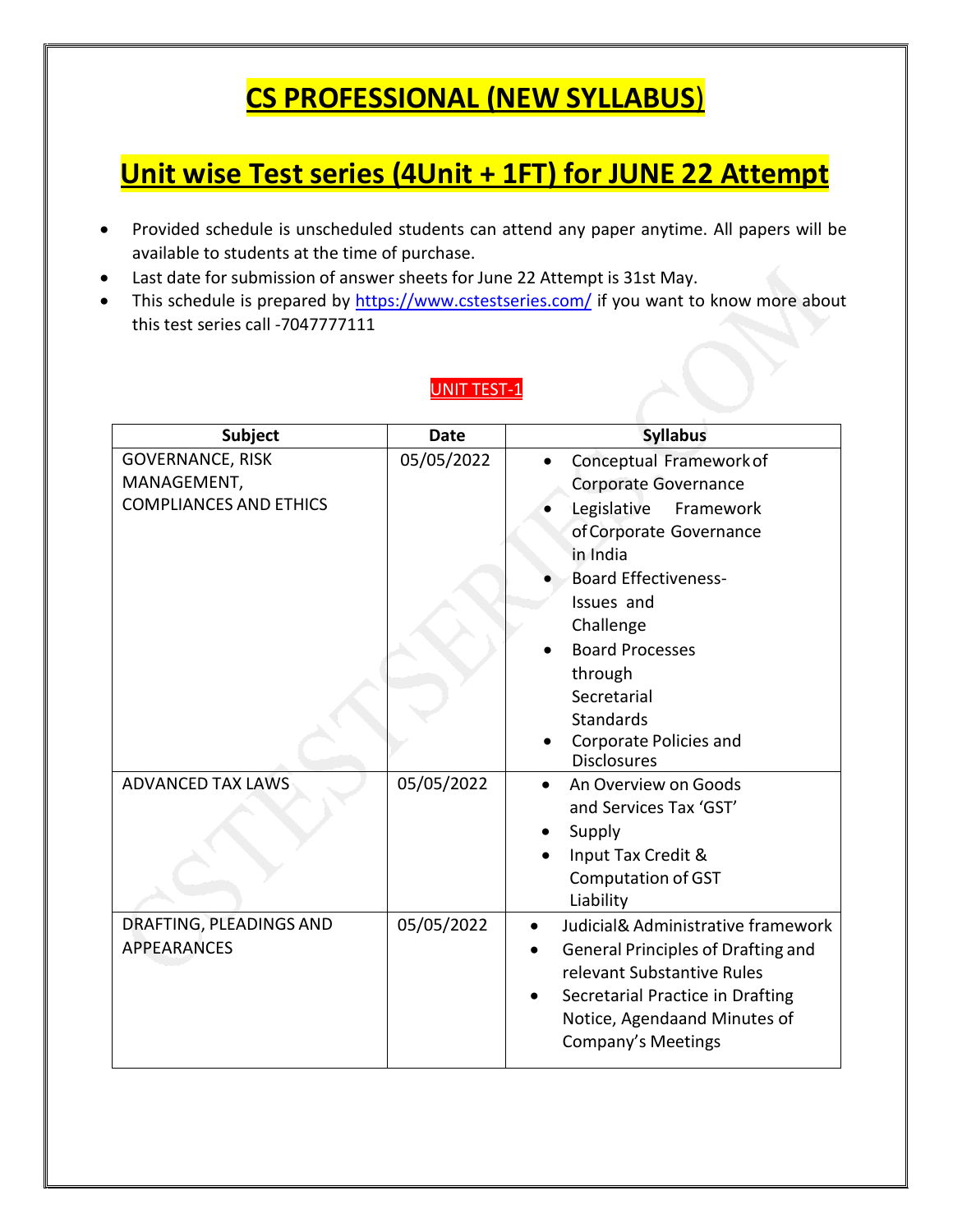## **CS PROFESSIONAL (NEW SYLLABUS**)

## **Unit wise Test series (4Unit + 1FT) for JUNE 22 Attempt**

- Provided schedule is unscheduled students can attend any paper anytime. All papers will be available to students at the time of purchase.
- Last date for submission of answer sheets for June 22 Attempt is 31st May.
- This schedule is prepared by <https://www.cstestseries.com/> if you want to know more about this test series call -7047777111

#### UNIT TEST-1

| <b>Subject</b>                                                          | <b>Date</b> | <b>Syllabus</b>                                                                                                                                                                                                                                                                                      |
|-------------------------------------------------------------------------|-------------|------------------------------------------------------------------------------------------------------------------------------------------------------------------------------------------------------------------------------------------------------------------------------------------------------|
| <b>GOVERNANCE, RISK</b><br>MANAGEMENT,<br><b>COMPLIANCES AND ETHICS</b> | 05/05/2022  | Conceptual Framework of<br>Corporate Governance<br>Legislative<br>Framework<br>of Corporate Governance<br>in India<br><b>Board Effectiveness-</b><br>Issues and<br>Challenge<br><b>Board Processes</b><br>through<br>Secretarial<br><b>Standards</b><br>Corporate Policies and<br><b>Disclosures</b> |
| <b>ADVANCED TAX LAWS</b>                                                | 05/05/2022  | An Overview on Goods<br>and Services Tax 'GST'<br>Supply<br>Input Tax Credit &<br><b>Computation of GST</b><br>Liability                                                                                                                                                                             |
| DRAFTING, PLEADINGS AND<br><b>APPEARANCES</b>                           | 05/05/2022  | Judicial& Administrative framework<br>٠<br><b>General Principles of Drafting and</b><br>relevant Substantive Rules<br>Secretarial Practice in Drafting<br>Notice, Agendaand Minutes of<br>Company's Meetings                                                                                         |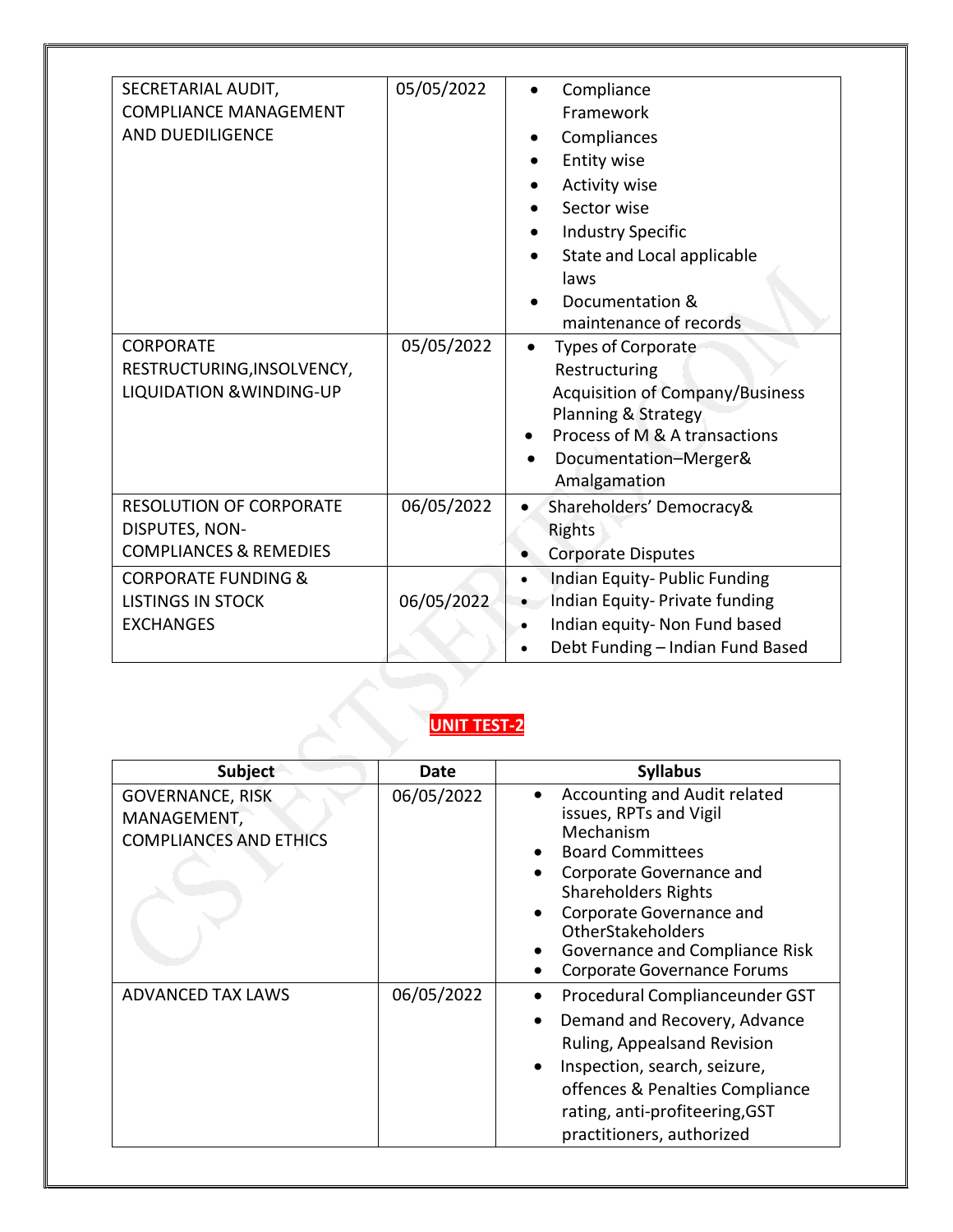| SECRETARIAL AUDIT,<br><b>COMPLIANCE MANAGEMENT</b><br><b>AND DUEDILIGENCE</b><br><b>CORPORATE</b><br>RESTRUCTURING, INSOLVENCY,<br><b>LIQUIDATION &amp; WINDING-UP</b>  | 05/05/2022<br>05/05/2022 | Compliance<br>Framework<br>Compliances<br>Entity wise<br><b>Activity wise</b><br>Sector wise<br><b>Industry Specific</b><br>State and Local applicable<br>laws<br>Documentation &<br>maintenance of records<br><b>Types of Corporate</b><br>Restructuring<br><b>Acquisition of Company/Business</b><br>Planning & Strategy<br>Process of M & A transactions<br>Documentation-Merger&<br>Amalgamation |
|-------------------------------------------------------------------------------------------------------------------------------------------------------------------------|--------------------------|------------------------------------------------------------------------------------------------------------------------------------------------------------------------------------------------------------------------------------------------------------------------------------------------------------------------------------------------------------------------------------------------------|
| <b>RESOLUTION OF CORPORATE</b><br>DISPUTES, NON-<br><b>COMPLIANCES &amp; REMEDIES</b><br><b>CORPORATE FUNDING &amp;</b><br><b>LISTINGS IN STOCK</b><br><b>EXCHANGES</b> | 06/05/2022<br>06/05/2022 | Shareholders' Democracy&<br>$\bullet$<br>Rights<br><b>Corporate Disputes</b><br>Indian Equity-Public Funding<br>$\bullet$<br>Indian Equity- Private funding<br>Indian equity- Non Fund based<br>$\bullet$<br>Debt Funding - Indian Fund Based<br>$\bullet$                                                                                                                                           |

#### **UNIT TEST-2**

| <b>Subject</b>                                                          | Date       | <b>Syllabus</b>                                                                                                                                                                                                                                                                          |
|-------------------------------------------------------------------------|------------|------------------------------------------------------------------------------------------------------------------------------------------------------------------------------------------------------------------------------------------------------------------------------------------|
| <b>GOVERNANCE, RISK</b><br>MANAGEMENT,<br><b>COMPLIANCES AND ETHICS</b> | 06/05/2022 | Accounting and Audit related<br>issues, RPTs and Vigil<br>Mechanism<br><b>Board Committees</b><br>Corporate Governance and<br><b>Shareholders Rights</b><br>Corporate Governance and<br><b>OtherStakeholders</b><br>Governance and Compliance Risk<br><b>Corporate Governance Forums</b> |
| <b>ADVANCED TAX LAWS</b>                                                | 06/05/2022 | Procedural Complianceunder GST<br>Demand and Recovery, Advance<br>Ruling, Appealsand Revision<br>Inspection, search, seizure,<br>offences & Penalties Compliance<br>rating, anti-profiteering, GST<br>practitioners, authorized                                                          |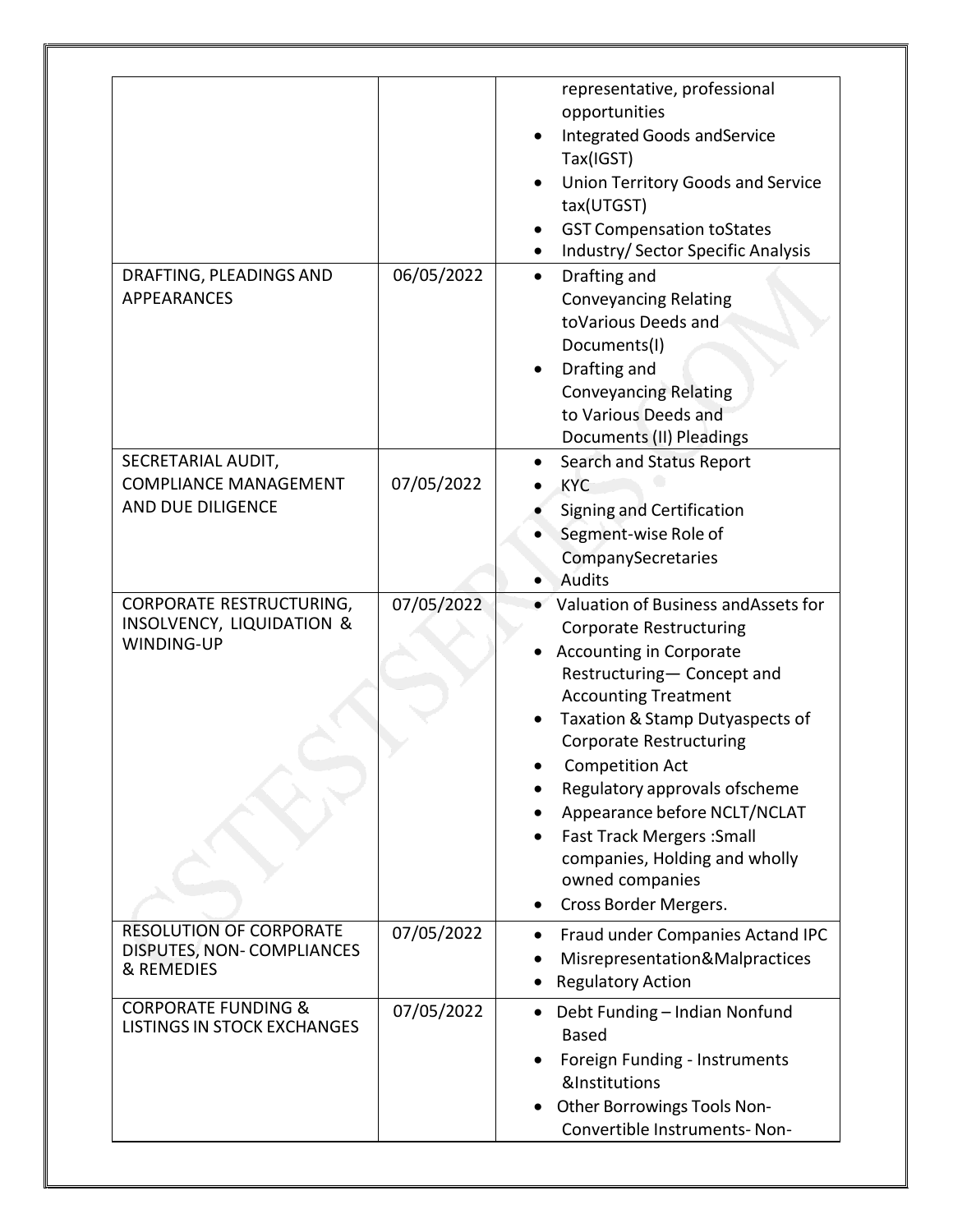|                                                                                |            | representative, professional<br>opportunities<br>Integrated Goods and Service<br>Tax(IGST)<br><b>Union Territory Goods and Service</b><br>tax(UTGST)<br><b>GST Compensation toStates</b><br>Industry/ Sector Specific Analysis                                                                                                                                                                                                                         |
|--------------------------------------------------------------------------------|------------|--------------------------------------------------------------------------------------------------------------------------------------------------------------------------------------------------------------------------------------------------------------------------------------------------------------------------------------------------------------------------------------------------------------------------------------------------------|
| DRAFTING, PLEADINGS AND<br><b>APPEARANCES</b>                                  | 06/05/2022 | Drafting and<br>$\bullet$<br><b>Conveyancing Relating</b><br>toVarious Deeds and<br>Documents(I)<br>Drafting and<br><b>Conveyancing Relating</b><br>to Various Deeds and<br>Documents (II) Pleadings                                                                                                                                                                                                                                                   |
| SECRETARIAL AUDIT,<br><b>COMPLIANCE MANAGEMENT</b><br>AND DUE DILIGENCE        | 07/05/2022 | Search and Status Report<br><b>KYC</b><br><b>Signing and Certification</b><br>Segment-wise Role of<br>CompanySecretaries<br><b>Audits</b>                                                                                                                                                                                                                                                                                                              |
| CORPORATE RESTRUCTURING,<br><b>INSOLVENCY, LIQUIDATION &amp;</b><br>WINDING-UP | 07/05/2022 | Valuation of Business and Assets for<br><b>Corporate Restructuring</b><br><b>Accounting in Corporate</b><br>Restructuring- Concept and<br><b>Accounting Treatment</b><br>Taxation & Stamp Dutyaspects of<br><b>Corporate Restructuring</b><br><b>Competition Act</b><br>Regulatory approvals ofscheme<br>Appearance before NCLT/NCLAT<br><b>Fast Track Mergers: Small</b><br>companies, Holding and wholly<br>owned companies<br>Cross Border Mergers. |
| <b>RESOLUTION OF CORPORATE</b><br>DISPUTES, NON-COMPLIANCES<br>& REMEDIES      | 07/05/2022 | Fraud under Companies Actand IPC<br>Misrepresentation&Malpractices<br><b>Regulatory Action</b>                                                                                                                                                                                                                                                                                                                                                         |
| <b>CORPORATE FUNDING &amp;</b><br><b>LISTINGS IN STOCK EXCHANGES</b>           | 07/05/2022 | Debt Funding - Indian Nonfund<br><b>Based</b><br>Foreign Funding - Instruments<br>&Institutions<br>Other Borrowings Tools Non-<br>Convertible Instruments-Non-                                                                                                                                                                                                                                                                                         |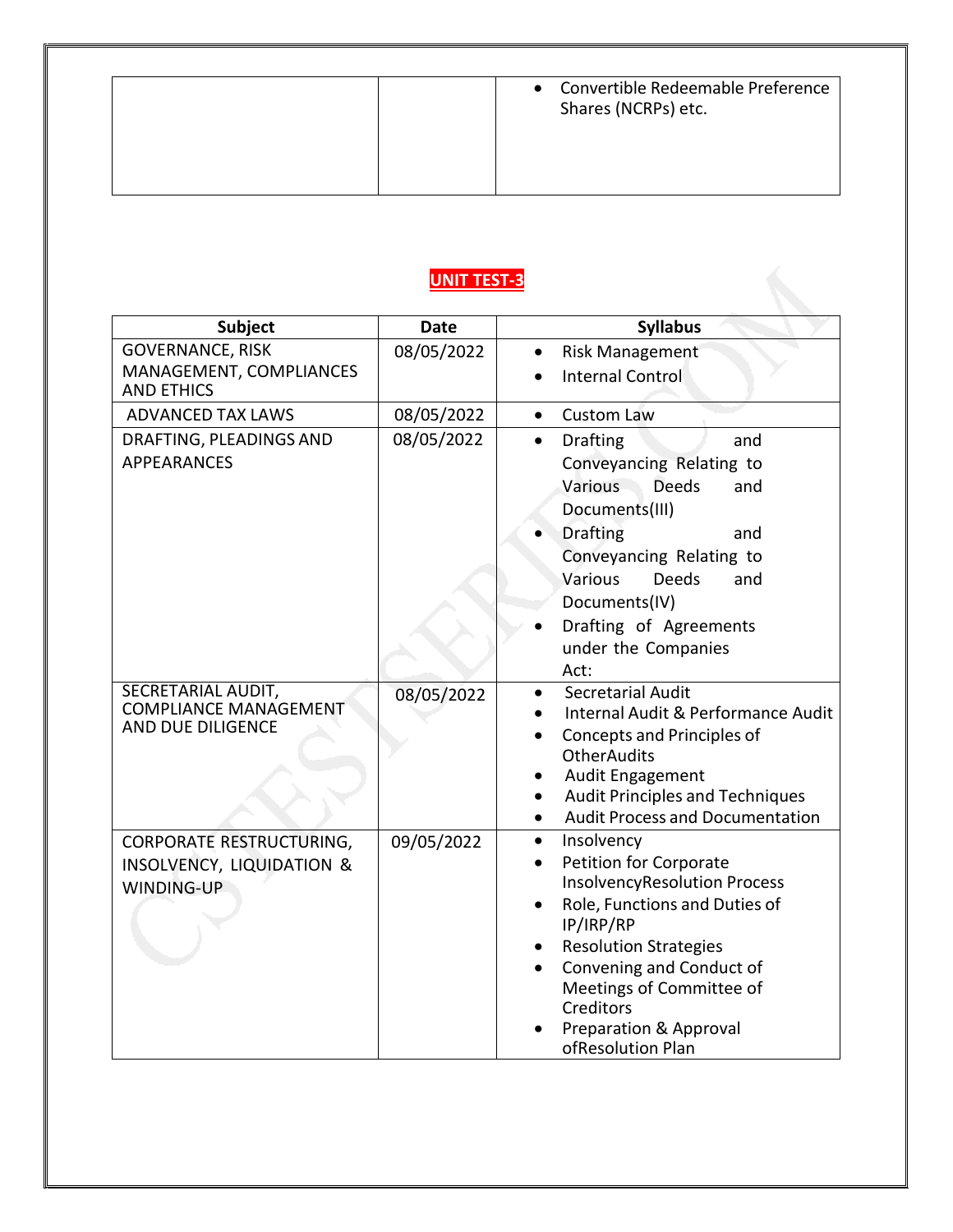### **UNIT TEST-3**

| <b>Subject</b>                                     | <b>Date</b> | <b>Syllabus</b>                                                      |
|----------------------------------------------------|-------------|----------------------------------------------------------------------|
| <b>GOVERNANCE, RISK</b><br>MANAGEMENT, COMPLIANCES | 08/05/2022  | <b>Risk Management</b>                                               |
| <b>AND ETHICS</b>                                  |             | <b>Internal Control</b>                                              |
| <b>ADVANCED TAX LAWS</b>                           | 08/05/2022  | <b>Custom Law</b><br>$\bullet$                                       |
| DRAFTING, PLEADINGS AND                            | 08/05/2022  | <b>Drafting</b><br>$\bullet$<br>and                                  |
| <b>APPEARANCES</b>                                 |             | Conveyancing Relating to                                             |
|                                                    |             | Various<br><b>Deeds</b><br>and                                       |
|                                                    |             | Documents(III)                                                       |
|                                                    |             | <b>Drafting</b><br>and                                               |
|                                                    |             | Conveyancing Relating to<br>Various<br><b>Deeds</b><br>and           |
|                                                    |             | Documents(IV)                                                        |
|                                                    |             | Drafting of Agreements                                               |
|                                                    |             | under the Companies                                                  |
|                                                    |             | Act:                                                                 |
| SECRETARIAL AUDIT,<br><b>COMPLIANCE MANAGEMENT</b> | 08/05/2022  | <b>Secretarial Audit</b>                                             |
| AND DUE DILIGENCE                                  |             | Internal Audit & Performance Audit                                   |
|                                                    |             | Concepts and Principles of<br><b>OtherAudits</b>                     |
|                                                    |             | Audit Engagement                                                     |
|                                                    |             | <b>Audit Principles and Techniques</b>                               |
|                                                    |             | <b>Audit Process and Documentation</b>                               |
| CORPORATE RESTRUCTURING,                           | 09/05/2022  | Insolvency<br>$\bullet$                                              |
| INSOLVENCY, LIQUIDATION &<br>WINDING-UP            |             | <b>Petition for Corporate</b><br><b>InsolvencyResolution Process</b> |
|                                                    |             | Role, Functions and Duties of                                        |
|                                                    |             | IP/IRP/RP                                                            |
|                                                    |             | <b>Resolution Strategies</b>                                         |
|                                                    |             | Convening and Conduct of                                             |
|                                                    |             | Meetings of Committee of<br>Creditors                                |
|                                                    |             | <b>Preparation &amp; Approval</b>                                    |
|                                                    |             | ofResolution Plan                                                    |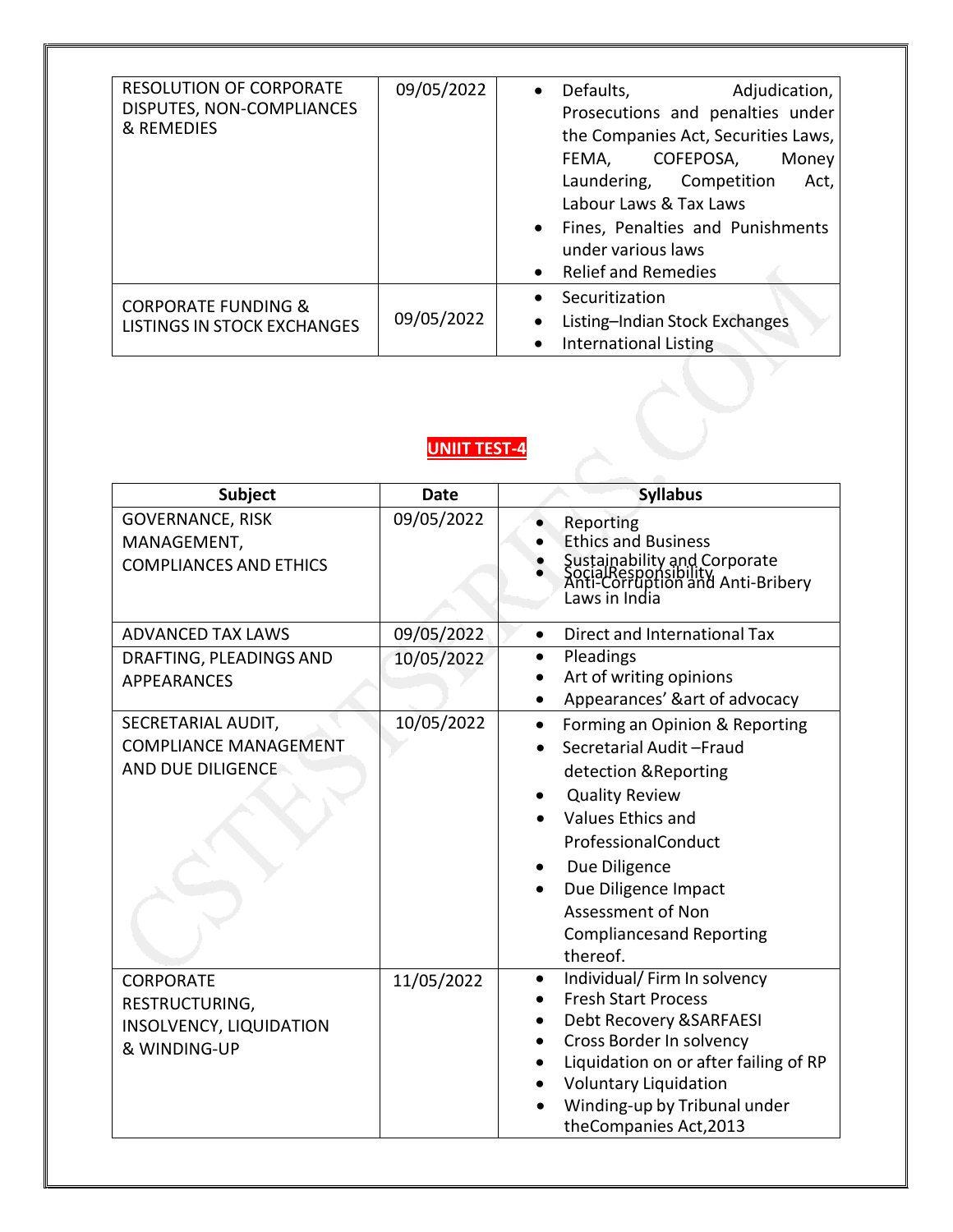| <b>RESOLUTION OF CORPORATE</b><br>DISPUTES, NON-COMPLIANCES<br>& REMEDIES | 09/05/2022 | Defaults,<br>Adjudication,<br>$\bullet$<br>Prosecutions and penalties under<br>the Companies Act, Securities Laws,<br>COFEPOSA,<br>FEMA,<br>Money<br>Laundering, Competition<br>Act,<br>Labour Laws & Tax Laws<br>Fines, Penalties and Punishments<br>under various laws<br>Relief and Remedies |
|---------------------------------------------------------------------------|------------|-------------------------------------------------------------------------------------------------------------------------------------------------------------------------------------------------------------------------------------------------------------------------------------------------|
| <b>CORPORATE FUNDING &amp;</b><br>LISTINGS IN STOCK EXCHANGES             | 09/05/2022 | Securitization<br>Listing-Indian Stock Exchanges<br><b>International Listing</b>                                                                                                                                                                                                                |

#### **UNIIT TEST-4**

| Subject                                                                       | <b>Date</b> | <b>Syllabus</b>                                                                                                                                                                                                                                                                          |
|-------------------------------------------------------------------------------|-------------|------------------------------------------------------------------------------------------------------------------------------------------------------------------------------------------------------------------------------------------------------------------------------------------|
| <b>GOVERNANCE, RISK</b><br>MANAGEMENT,<br><b>COMPLIANCES AND ETHICS</b>       | 09/05/2022  | Reporting<br><b>Ethics and Business</b><br>Sustainability and Corporate<br>SocialResponsibility<br>Anti-Corruption and Anti-Bribery<br>Laws in India                                                                                                                                     |
| <b>ADVANCED TAX LAWS</b>                                                      | 09/05/2022  | Direct and International Tax<br>$\bullet$                                                                                                                                                                                                                                                |
| DRAFTING, PLEADINGS AND<br><b>APPEARANCES</b>                                 | 10/05/2022  | Pleadings<br>Art of writing opinions<br>Appearances' &art of advocacy                                                                                                                                                                                                                    |
| SECRETARIAL AUDIT,<br><b>COMPLIANCE MANAGEMENT</b><br>AND DUE DILIGENCE       | 10/05/2022  | Forming an Opinion & Reporting<br>$\bullet$<br>Secretarial Audit-Fraud<br>detection & Reporting<br><b>Quality Review</b><br>Values Ethics and<br>ProfessionalConduct<br>Due Diligence<br>Due Diligence Impact<br><b>Assessment of Non</b><br><b>Compliancesand Reporting</b><br>thereof. |
| <b>CORPORATE</b><br>RESTRUCTURING,<br>INSOLVENCY, LIQUIDATION<br>& WINDING-UP | 11/05/2022  | Individual/ Firm In solvency<br><b>Fresh Start Process</b><br>Debt Recovery & SARFAESI<br>Cross Border In solvency<br>Liquidation on or after failing of RP<br><b>Voluntary Liquidation</b><br>Winding-up by Tribunal under<br>theCompanies Act, 2013                                    |